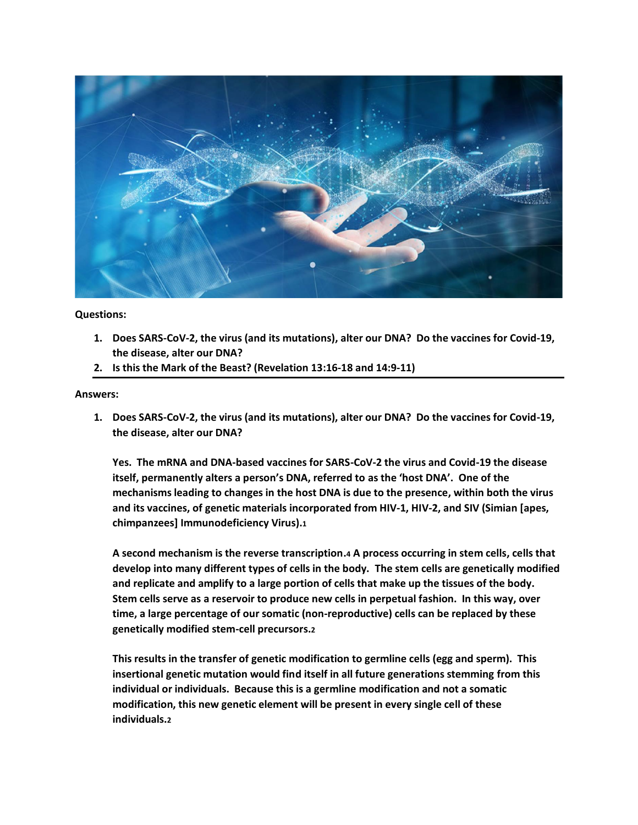

**Questions:**

- **1. Does SARS-CoV-2, the virus (and its mutations), alter our DNA? Do the vaccines for Covid-19, the disease, alter our DNA?**
- **2. Is this the Mark of the Beast? (Revelation 13:16-18 and 14:9-11)**

#### **Answers:**

**1. Does SARS-CoV-2, the virus (and its mutations), alter our DNA? Do the vaccines for Covid-19, the disease, alter our DNA?**

**Yes. The mRNA and DNA-based vaccines for SARS-CoV-2 the virus and Covid-19 the disease itself, permanently alters a person's DNA, referred to as the 'host DNA'. One of the mechanisms leading to changes in the host DNA is due to the presence, within both the virus and its vaccines, of genetic materials incorporated from HIV-1, HIV-2, and SIV (Simian [apes, chimpanzees] Immunodeficiency Virus).1**

**A second mechanism is the reverse transcription.4 A process occurring in stem cells, cells that develop into many different types of cells in the body. The stem cells are genetically modified and replicate and amplify to a large portion of cells that make up the tissues of the body. Stem cells serve as a reservoir to produce new cells in perpetual fashion. In this way, over time, a large percentage of our somatic (non-reproductive) cells can be replaced by these genetically modified stem-cell precursors.2**

**This results in the transfer of genetic modification to germline cells (egg and sperm). This insertional genetic mutation would find itself in all future generations stemming from this individual or individuals. Because this is a germline modification and not a somatic modification, this new genetic element will be present in every single cell of these individuals.2**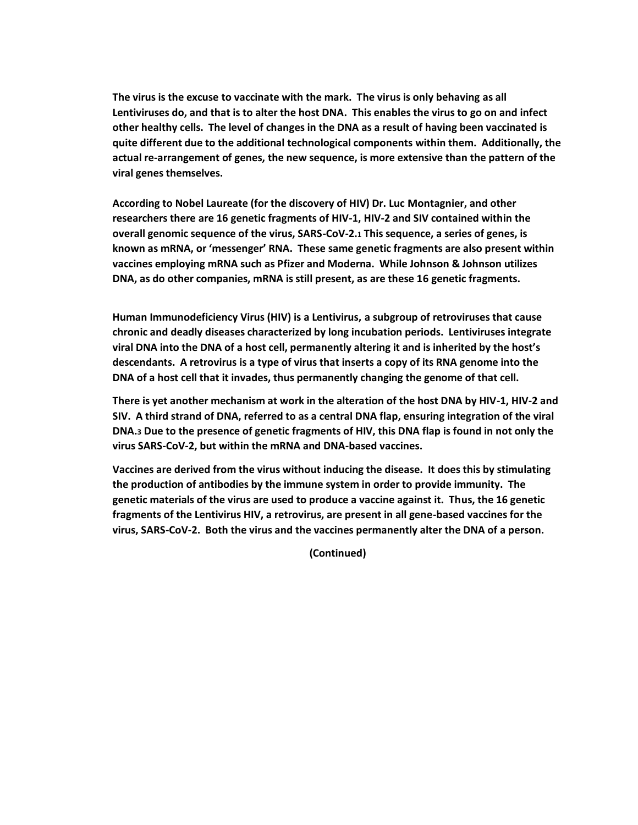**The virus is the excuse to vaccinate with the mark. The virus is only behaving as all Lentiviruses do, and that is to alter the host DNA. This enables the virus to go on and infect other healthy cells. The level of changes in the DNA as a result of having been vaccinated is quite different due to the additional technological components within them. Additionally, the actual re-arrangement of genes, the new sequence, is more extensive than the pattern of the viral genes themselves.**

**According to Nobel Laureate (for the discovery of HIV) Dr. Luc Montagnier, and other researchers there are 16 genetic fragments of HIV-1, HIV-2 and SIV contained within the overall genomic sequence of the virus, SARS-CoV-2.1 This sequence, a series of genes, is known as mRNA, or 'messenger' RNA. These same genetic fragments are also present within vaccines employing mRNA such as Pfizer and Moderna. While Johnson & Johnson utilizes DNA, as do other companies, mRNA is still present, as are these 16 genetic fragments.**

**Human Immunodeficiency Virus (HIV) is a Lentivirus, a subgroup of retroviruses that cause chronic and deadly diseases characterized by long incubation periods. Lentiviruses integrate viral DNA into the DNA of a host cell, permanently altering it and is inherited by the host's descendants. A retrovirus is a type of virus that inserts a copy of its RNA genome into the DNA of a host cell that it invades, thus permanently changing the genome of that cell.**

**There is yet another mechanism at work in the alteration of the host DNA by HIV-1, HIV-2 and SIV. A third strand of DNA, referred to as a central DNA flap, ensuring integration of the viral DNA.3 Due to the presence of genetic fragments of HIV, this DNA flap is found in not only the virus SARS-CoV-2, but within the mRNA and DNA-based vaccines.**

**Vaccines are derived from the virus without inducing the disease. It does this by stimulating the production of antibodies by the immune system in order to provide immunity. The genetic materials of the virus are used to produce a vaccine against it. Thus, the 16 genetic fragments of the Lentivirus HIV, a retrovirus, are present in all gene-based vaccines for the virus, SARS-CoV-2. Both the virus and the vaccines permanently alter the DNA of a person.**

**(Continued)**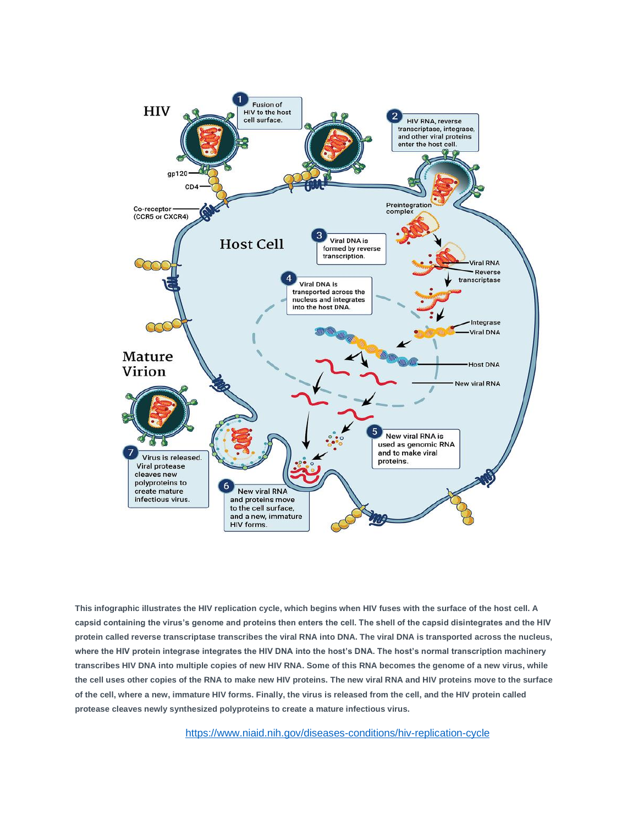

**This infographic illustrates the HIV replication cycle, which begins when HIV fuses with the surface of the host cell. A capsid containing the virus's genome and proteins then enters the cell. The shell of the capsid disintegrates and the HIV protein called reverse transcriptase transcribes the viral RNA into DNA. The viral DNA is transported across the nucleus, where the HIV protein integrase integrates the HIV DNA into the host's DNA. The host's normal transcription machinery transcribes HIV DNA into multiple copies of new HIV RNA. Some of this RNA becomes the genome of a new virus, while the cell uses other copies of the RNA to make new HIV proteins. The new viral RNA and HIV proteins move to the surface of the cell, where a new, immature HIV forms. Finally, the virus is released from the cell, and the HIV protein called protease cleaves newly synthesized polyproteins to create a mature infectious virus.**

<https://www.niaid.nih.gov/diseases-conditions/hiv-replication-cycle>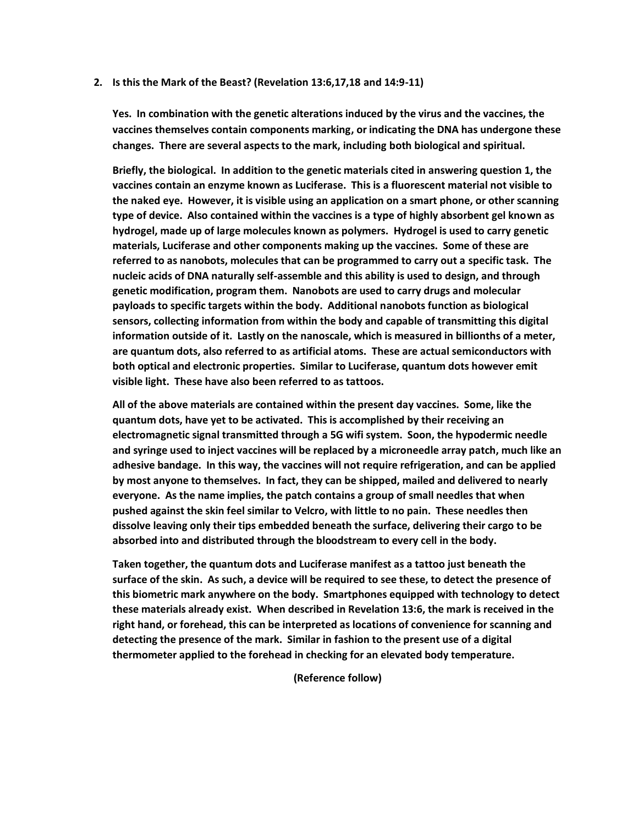**2. Is this the Mark of the Beast? (Revelation 13:6,17,18 and 14:9-11)**

**Yes. In combination with the genetic alterations induced by the virus and the vaccines, the vaccines themselves contain components marking, or indicating the DNA has undergone these changes. There are several aspects to the mark, including both biological and spiritual.**

**Briefly, the biological. In addition to the genetic materials cited in answering question 1, the vaccines contain an enzyme known as Luciferase. This is a fluorescent material not visible to the naked eye. However, it is visible using an application on a smart phone, or other scanning type of device. Also contained within the vaccines is a type of highly absorbent gel known as hydrogel, made up of large molecules known as polymers. Hydrogel is used to carry genetic materials, Luciferase and other components making up the vaccines. Some of these are referred to as nanobots, molecules that can be programmed to carry out a specific task. The nucleic acids of DNA naturally self-assemble and this ability is used to design, and through genetic modification, program them. Nanobots are used to carry drugs and molecular payloads to specific targets within the body. Additional nanobots function as biological sensors, collecting information from within the body and capable of transmitting this digital information outside of it. Lastly on the nanoscale, which is measured in billionths of a meter, are quantum dots, also referred to as artificial atoms. These are actual semiconductors with both optical and electronic properties. Similar to Luciferase, quantum dots however emit visible light. These have also been referred to as tattoos.**

**All of the above materials are contained within the present day vaccines. Some, like the quantum dots, have yet to be activated. This is accomplished by their receiving an electromagnetic signal transmitted through a 5G wifi system. Soon, the hypodermic needle and syringe used to inject vaccines will be replaced by a microneedle array patch, much like an adhesive bandage. In this way, the vaccines will not require refrigeration, and can be applied by most anyone to themselves. In fact, they can be shipped, mailed and delivered to nearly everyone. As the name implies, the patch contains a group of small needles that when pushed against the skin feel similar to Velcro, with little to no pain. These needles then dissolve leaving only their tips embedded beneath the surface, delivering their cargo to be absorbed into and distributed through the bloodstream to every cell in the body.**

**Taken together, the quantum dots and Luciferase manifest as a tattoo just beneath the surface of the skin. As such, a device will be required to see these, to detect the presence of this biometric mark anywhere on the body. Smartphones equipped with technology to detect these materials already exist. When described in Revelation 13:6, the mark is received in the right hand, or forehead, this can be interpreted as locations of convenience for scanning and detecting the presence of the mark. Similar in fashion to the present use of a digital thermometer applied to the forehead in checking for an elevated body temperature.**

**(Reference follow)**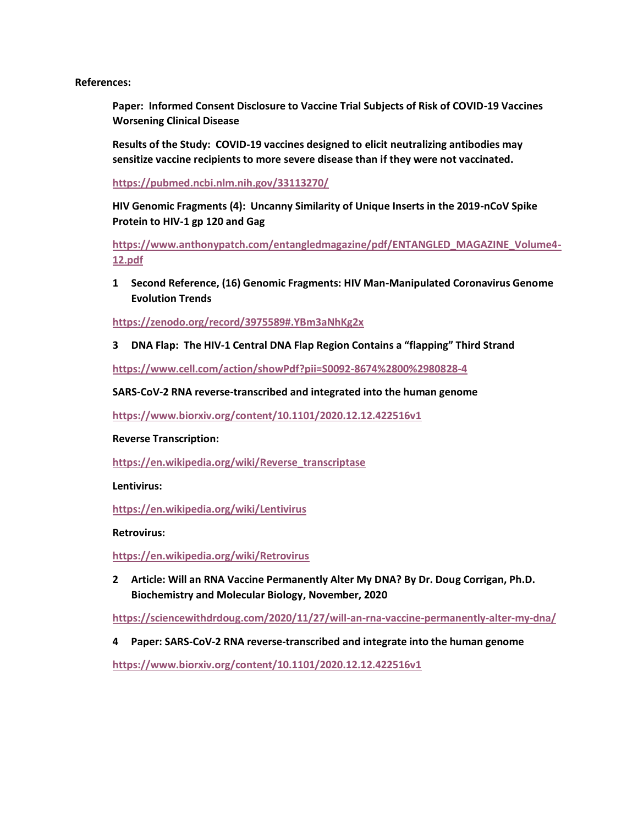**References:**

**Paper: Informed Consent Disclosure to Vaccine Trial Subjects of Risk of COVID-19 Vaccines Worsening Clinical Disease**

**Results of the Study: COVID-19 vaccines designed to elicit neutralizing antibodies may sensitize vaccine recipients to more severe disease than if they were not vaccinated.**

**<https://pubmed.ncbi.nlm.nih.gov/33113270/>**

**HIV Genomic Fragments (4): Uncanny Similarity of Unique Inserts in the 2019-nCoV Spike Protein to HIV-1 gp 120 and Gag**

**[https://www.anthonypatch.com/entangledmagazine/pdf/ENTANGLED\\_MAGAZINE\\_Volume4-](https://www.anthonypatch.com/entangledmagazine/pdf/ENTANGLED_MAGAZINE_Volume4-12.pdf) [12.pdf](https://www.anthonypatch.com/entangledmagazine/pdf/ENTANGLED_MAGAZINE_Volume4-12.pdf)**

**1 Second Reference, (16) Genomic Fragments: HIV Man-Manipulated Coronavirus Genome Evolution Trends**

**<https://zenodo.org/record/3975589#.YBm3aNhKg2x>**

**3 DNA Flap: The HIV-1 Central DNA Flap Region Contains a "flapping" Third Strand**

**<https://www.cell.com/action/showPdf?pii=S0092-8674%2800%2980828-4>**

**SARS-CoV-2 RNA reverse-transcribed and integrated into the human genome**

**<https://www.biorxiv.org/content/10.1101/2020.12.12.422516v1>**

#### **Reverse Transcription:**

**[https://en.wikipedia.org/wiki/Reverse\\_transcriptase](https://en.wikipedia.org/wiki/Reverse_transcriptase)**

**Lentivirus:**

**<https://en.wikipedia.org/wiki/Lentivirus>**

**Retrovirus:**

**<https://en.wikipedia.org/wiki/Retrovirus>**

**2 Article: Will an RNA Vaccine Permanently Alter My DNA? By Dr. Doug Corrigan, Ph.D. Biochemistry and Molecular Biology, November, 2020**

**<https://sciencewithdrdoug.com/2020/11/27/will-an-rna-vaccine-permanently-alter-my-dna/>**

**4 Paper: SARS-CoV-2 RNA reverse-transcribed and integrate into the human genome**

**<https://www.biorxiv.org/content/10.1101/2020.12.12.422516v1>**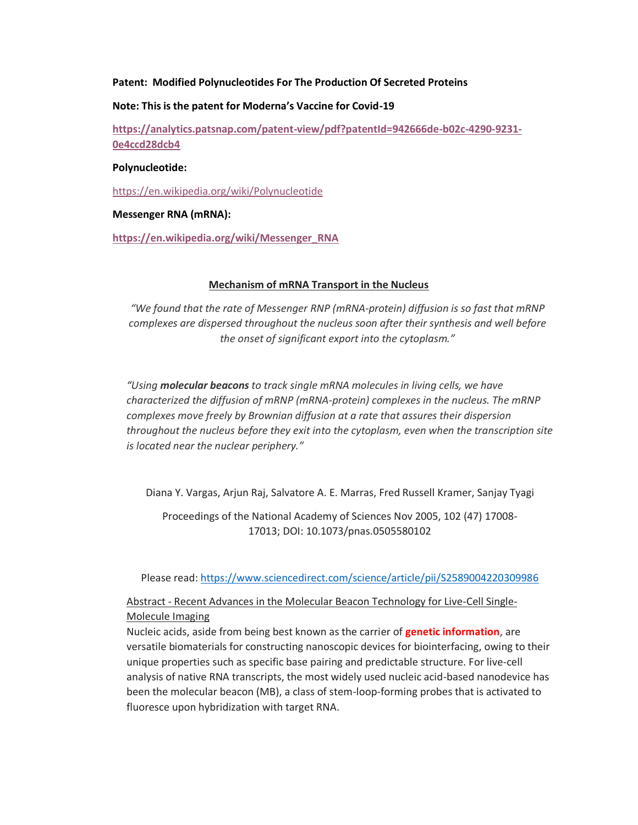# **Patent: Modified Polynucleotides For The Production Of Secreted Proteins**

#### **Note: This is the patent for Moderna's Vaccine for Covid-19**

**[https://analytics.patsnap.com/patent-view/pdf?patentId=942666de-b02c-4290-9231-](https://analytics.patsnap.com/patent-view/pdf?patentId=942666de-b02c-4290-9231-0e4ccd28dcb4) [0e4ccd28dcb4](https://analytics.patsnap.com/patent-view/pdf?patentId=942666de-b02c-4290-9231-0e4ccd28dcb4)**

#### **Polynucleotide:**

<https://en.wikipedia.org/wiki/Polynucleotide>

# **Messenger RNA (mRNA):**

**[https://en.wikipedia.org/wiki/Messenger\\_RNA](https://en.wikipedia.org/wiki/Messenger_RNA)**

# **Mechanism of mRNA Transport in the Nucleus**

*"We found that the rate of Messenger RNP (mRNA-protein) diffusion is so fast that mRNP complexes are dispersed throughout the nucleus soon after their synthesis and well before the onset of significant export into the cytoplasm."*

*"Using molecular beacons to track single mRNA molecules in living cells, we have characterized the diffusion of mRNP (mRNA-protein) complexes in the nucleus. The mRNP complexes move freely by Brownian diffusion at a rate that assures their dispersion throughout the nucleus before they exit into the cytoplasm, even when the transcription site is located near the nuclear periphery."*

Diana Y. Vargas, Arjun Raj, Salvatore A. E. Marras, Fred Russell Kramer, Sanjay Tyagi

Proceedings of the National Academy of Sciences Nov 2005, 102 (47) 17008- 17013; DOI: 10.1073/pnas.0505580102

Please read[: https://www.sciencedirect.com/science/article/pii/S2589004220309986](https://www.sciencedirect.com/science/article/pii/S2589004220309986)

# Abstract - Recent Advances in the Molecular Beacon Technology for Live-Cell Single-Molecule Imaging

Nucleic acids, aside from being best known as the carrier of **genetic information**, are versatile biomaterials for constructing nanoscopic devices for biointerfacing, owing to their unique properties such as specific base pairing and predictable structure. For live-cell analysis of native RNA transcripts, the most widely used nucleic acid-based nanodevice has been the molecular beacon (MB), a class of stem-loop-forming probes that is activated to fluoresce upon hybridization with target RNA.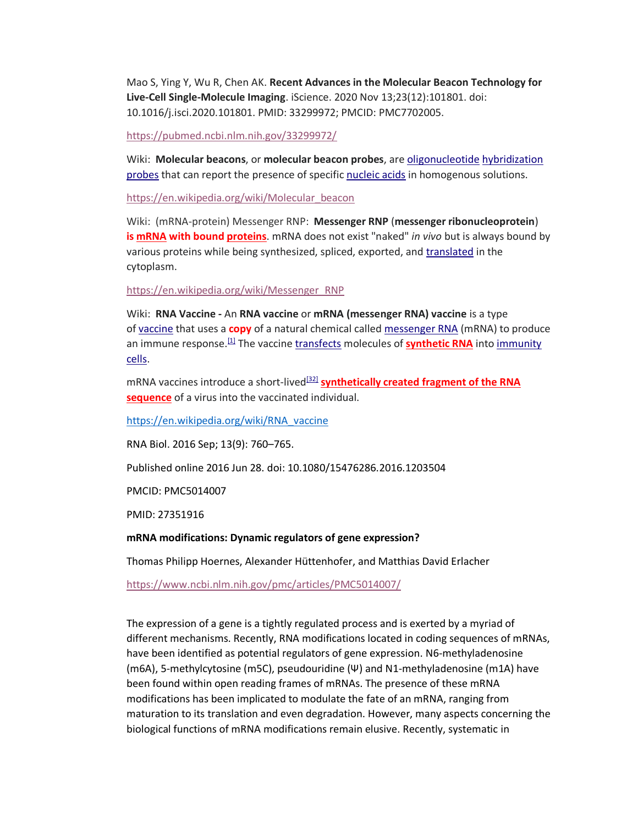Mao S, Ying Y, Wu R, Chen AK. **Recent Advances in the Molecular Beacon Technology for Live-Cell Single-Molecule Imaging**. iScience. 2020 Nov 13;23(12):101801. doi: 10.1016/j.isci.2020.101801. PMID: 33299972; PMCID: PMC7702005.

<https://pubmed.ncbi.nlm.nih.gov/33299972/>

Wiki: Molecular beacons, or molecular beacon probes, are [oligonucleotide](about:blank) hybridization [probes](about:blank) that can report the presence of specific [nucleic acids](about:blank) in homogenous solutions.

[https://en.wikipedia.org/wiki/Molecular\\_beacon](https://en.wikipedia.org/wiki/Molecular_beacon)

Wiki: (mRNA-protein) Messenger RNP: **Messenger RNP** (**messenger ribonucleoprotein**) **is [mRNA](about:blank) with bound [proteins](about:blank)**. mRNA does not exist "naked" *in vivo* but is always bound by various proteins while being synthesized, spliced, exported, and [translated](about:blank) in the cytoplasm.

[https://en.wikipedia.org/wiki/Messenger\\_RNP](https://en.wikipedia.org/wiki/Messenger_RNP)

Wiki: **RNA Vaccine -** An **RNA vaccine** or **mRNA (messenger RNA) vaccine** is a type of [vaccine](about:blank) that uses a **copy** of a natural chemical called [messenger RNA](about:blank) (mRNA) to produce an immune response.<sup>[\[1\]](about:blank#cite_note-pmid33340620-1)</sup> The vaccine *[transfects](about:blank)* molecules of **[synthetic RNA](about:blank)** into immunity [cells.](about:blank)

mRNA vaccines introduce a short-lived<sup>[\[32\]](about:blank#cite_note-NatRevMat-32)</sup> **synthetically created fragment of the RNA [sequence](about:blank)** of a virus into the vaccinated individual.

[https://en.wikipedia.org/wiki/RNA\\_vaccine](https://en.wikipedia.org/wiki/RNA_vaccine)

[RNA Biol.](about:blank) 2016 Sep; 13(9): 760–765.

Published online 2016 Jun 28. doi: 10.1080/15476286.2016.1203504

PMCID: PMC5014007

PMID: [27351916](about:blank)

**mRNA modifications: Dynamic regulators of gene expression?**

[Thomas Philipp Hoernes,](about:blank) [Alexander Hüttenhofer,](about:blank) and [Matthias David Erlacher](about:blank)

<https://www.ncbi.nlm.nih.gov/pmc/articles/PMC5014007/>

The expression of a gene is a tightly regulated process and is exerted by a myriad of different mechanisms. Recently, RNA modifications located in coding sequences of mRNAs, have been identified as potential regulators of gene expression. N6-methyladenosine (m6A), 5-methylcytosine (m5C), pseudouridine (Ψ) and N1-methyladenosine (m1A) have been found within open reading frames of mRNAs. The presence of these mRNA modifications has been implicated to modulate the fate of an mRNA, ranging from maturation to its translation and even degradation. However, many aspects concerning the biological functions of mRNA modifications remain elusive. Recently, systematic in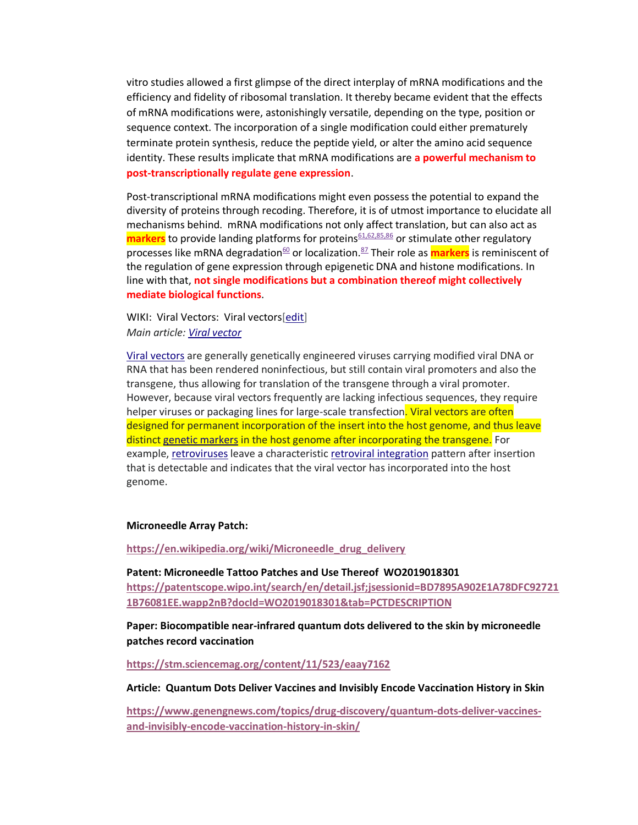vitro studies allowed a first glimpse of the direct interplay of mRNA modifications and the efficiency and fidelity of ribosomal translation. It thereby became evident that the effects of mRNA modifications were, astonishingly versatile, depending on the type, position or sequence context. The incorporation of a single modification could either prematurely terminate protein synthesis, reduce the peptide yield, or alter the amino acid sequence identity. These results implicate that mRNA modifications are **a powerful mechanism to post-transcriptionally regulate gene expression**.

Post-transcriptional mRNA modifications might even possess the potential to expand the diversity of proteins through recoding. Therefore, it is of utmost importance to elucidate all mechanisms behind. mRNA modifications not only affect translation, but can also act as **markers** to provide landing platforms for proteins<sup>[61,62,85,86](about:blank#cit0061)</sup> or stimulate other regulatory processes like mRNA degradation<sup>[60](about:blank#cit0060)</sup> or localization.<sup>[87](about:blank#cit0087)</sup> Their role as **markers** is reminiscent of the regulation of gene expression through epigenetic DNA and histone modifications. In line with that, **not single modifications but a combination thereof might collectively mediate biological functions**.

WIKI: Viral Vectors: Viral vectors[\[edit\]](about:blank) *Main article: [Viral vector](about:blank)*

[Viral vectors](about:blank) are generally genetically engineered viruses carrying modified viral DNA or RNA that has been rendered noninfectious, but still contain viral promoters and also the transgene, thus allowing for translation of the transgene through a viral promoter. However, because viral vectors frequently are lacking infectious sequences, they require helper viruses or packaging lines for large-scale transfection. Viral vectors are often designed for permanent incorporation of the insert into the host genome, and thus leave distinct [genetic markers](about:blank) in the host genome after incorporating the transgene. For example, [retroviruses](about:blank) leave a characteristic [retroviral integration](about:blank) pattern after insertion that is detectable and indicates that the viral vector has incorporated into the host genome.

#### **Microneedle Array Patch:**

**[https://en.wikipedia.org/wiki/Microneedle\\_drug\\_delivery](https://en.wikipedia.org/wiki/Microneedle_drug_delivery)**

**Patent: Microneedle Tattoo Patches and Use Thereof WO2019018301 [https://patentscope.wipo.int/search/en/detail.jsf;jsessionid=BD7895A902E1A78DFC92721](https://patentscope.wipo.int/search/en/detail.jsf;jsessionid=BD7895A902E1A78DFC927211B76081EE.wapp2nB?docId=WO2019018301&tab=PCTDESCRIPTION) [1B76081EE.wapp2nB?docId=WO2019018301&tab=PCTDESCRIPTION](https://patentscope.wipo.int/search/en/detail.jsf;jsessionid=BD7895A902E1A78DFC927211B76081EE.wapp2nB?docId=WO2019018301&tab=PCTDESCRIPTION)**

**Paper: Biocompatible near-infrared quantum dots delivered to the skin by microneedle patches record vaccination**

**<https://stm.sciencemag.org/content/11/523/eaay7162>**

**Article: Quantum Dots Deliver Vaccines and Invisibly Encode Vaccination History in Skin**

**[https://www.genengnews.com/topics/drug-discovery/quantum-dots-deliver-vaccines](https://www.genengnews.com/topics/drug-discovery/quantum-dots-deliver-vaccines-and-invisibly-encode-vaccination-history-in-skin/)[and-invisibly-encode-vaccination-history-in-skin/](https://www.genengnews.com/topics/drug-discovery/quantum-dots-deliver-vaccines-and-invisibly-encode-vaccination-history-in-skin/)**